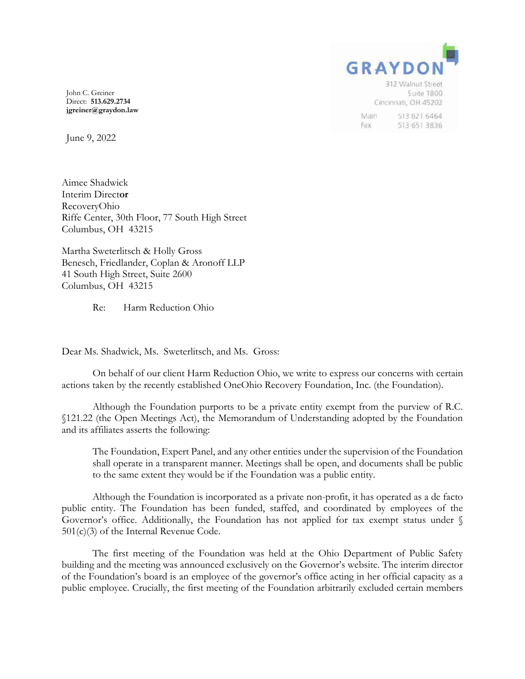

John C. Greiner Direct: **513.629.2734 jgreiner@graydon.law**

June 9, 2022

Aimee Shadwick Interim Direct**or** RecoveryOhio Riffe Center, 30th Floor, 77 South High Street Columbus, OH 43215

Martha Sweterlitsch & Holly Gross Benesch, Friedlander, Coplan & Aronoff LLP 41 South High Street, Suite 2600 Columbus, OH 43215

Re: Harm Reduction Ohio

Dear Ms. Shadwick, Ms. Sweterlitsch, and Ms. Gross:

On behalf of our client Harm Reduction Ohio, we write to express our concerns with certain actions taken by the recently established OneOhio Recovery Foundation, Inc. (the Foundation).

Although the Foundation purports to be a private entity exempt from the purview of R.C. §121.22 (the Open Meetings Act), the Memorandum of Understanding adopted by the Foundation and its affiliates asserts the following:

The Foundation, Expert Panel, and any other entities under the supervision of the Foundation shall operate in a transparent manner. Meetings shall be open, and documents shall be public to the same extent they would be if the Foundation was a public entity.

Although the Foundation is incorporated as a private non-profit, it has operated as a de facto public entity. The Foundation has been funded, staffed, and coordinated by employees of the Governor's office. Additionally, the Foundation has not applied for tax exempt status under § 501(c)(3) of the Internal Revenue Code.

The first meeting of the Foundation was held at the Ohio Department of Public Safety building and the meeting was announced exclusively on the Governor's website. The interim director of the Foundation's board is an employee of the governor's office acting in her official capacity as a public employee. Crucially, the first meeting of the Foundation arbitrarily excluded certain members